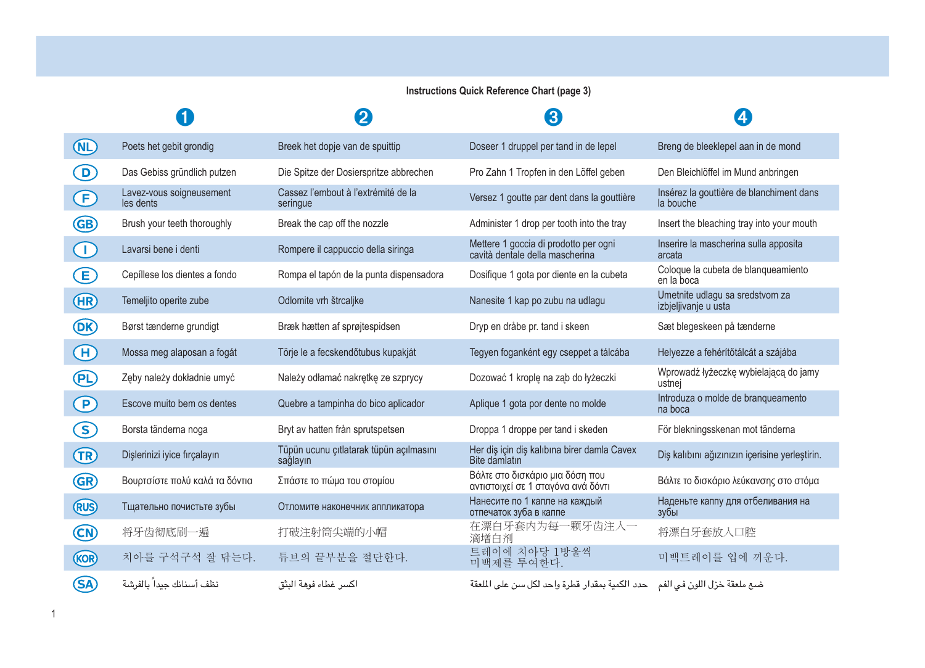## **Instructions Quick Reference Chart (page 3)**

|                |                                       | 2                                                   | ദ                                                                          | 4                                                       |
|----------------|---------------------------------------|-----------------------------------------------------|----------------------------------------------------------------------------|---------------------------------------------------------|
| (ML)           | Poets het gebit grondig               | Breek het dopje van de spuittip                     | Doseer 1 druppel per tand in de lepel                                      | Breng de bleeklepel aan in de mond                      |
| D)             | Das Gebiss gründlich putzen           | Die Spitze der Dosierspritze abbrechen              | Pro Zahn 1 Tropfen in den Löffel geben                                     | Den Bleichlöffel im Mund anbringen                      |
| <sup>(F)</sup> | Lavez-vous soigneusement<br>les dents | Cassez l'embout à l'extrémité de la<br>seringue     | Versez 1 goutte par dent dans la gouttière                                 | Insérez la gouttière de blanchiment dans<br>la bouche   |
| GB)            | Brush your teeth thoroughly           | Break the cap off the nozzle                        | Administer 1 drop per tooth into the tray                                  | Insert the bleaching tray into your mouth               |
| $\bigcap$      | Lavarsi bene i denti                  | Rompere il cappuccio della siringa                  | Mettere 1 goccia di prodotto per ogni<br>cavità dentale della mascherina   | Inserire la mascherina sulla apposita<br>arcata         |
| E)             | Cepíllese los dientes a fondo         | Rompa el tapón de la punta dispensadora             | Dosifique 1 gota por diente en la cubeta                                   | Coloque la cubeta de blanqueamiento<br>en la boca       |
| (HR)           | Temeljito operite zube                | Odlomite vrh štrcaljke                              | Nanesite 1 kap po zubu na udlagu                                           | Umetnite udlagu sa sredstvom za<br>izbjeljivanje u usta |
| (DK)           | Børst tænderne grundigt               | Bræk hætten af sprøjtespidsen                       | Dryp en dråbe pr. tand i skeen                                             | Sæt blegeskeen på tænderne                              |
| $\bigoplus$    | Mossa meg alaposan a fogát            | Törje le a fecskendőtubus kupakját                  | Tegyen foganként egy cseppet a tálcába                                     | Helyezze a fehérítőtálcát a szájába                     |
| <b>PL</b>      | Zeby należy dokładnie umyć            | Należy odłamać nakretke ze szprycy                  | Dozować 1 krople na zab do łyżeczki                                        | Wprowadź łyżeczkę wybielającą do jamy<br>ustnej         |
| $\bigcirc$     | Escove muito bem os dentes            | Quebre a tampinha do bico aplicador                 | Aplique 1 gota por dente no molde                                          | Introduza o molde de branqueamento<br>na boca           |
| ဒ              | Borsta tänderna noga                  | Bryt av hatten från sprutspetsen                    | Droppa 1 droppe per tand i skeden                                          | För blekningsskenan mot tänderna                        |
| <b>TR</b>      | Dişlerinizi iyice fırçalayın          | Tüpün ucunu çıtlatarak tüpün açılmasını<br>sağlayın | Her dis için diş kalıbına birer damla Cavex<br>Bite damlatın               | Diş kalıbını ağızınızın içerisine yerleştirin.          |
| GR)            | Βουρτσίστε πολύ καλά τα δόντια        | Σπάστε το πώμα του στομίου                          | Βάλτε στο δισκάριο μια δόση που<br>αντιστοιχεί σε 1 σταγόνα ανά δόντι      | Βάλτε το δισκάριο λεύκανσης στο στόμα                   |
| <b>RUS</b>     | Тщательно почистьте зубы              | Отломите наконечник аппликатора                     | Нанесите по 1 капле на каждый<br>отпечаток зуба в каппе                    | Наденьте каппу для отбеливания на<br>зубы               |
| CN)            | 将牙齿彻底刷一遍                              | 打破注射筒尖端的小帽                                          | 在漂白牙套内为每一颗牙齿注入一<br>滴增白剂                                                    | 将漂白牙套放入口腔                                               |
| (KOR)          | 치아를 구석구석 잘 닦는다.                       | 튜브의 끝부분을 절단한다.                                      | 트레이에 치아당 1방울씩<br>미백제를 투여하다.                                                | 미백트레이를 입에 끼운다.                                          |
| (SA            | نظف أسنانك جيدا بالفرشة               | اكسر غطاء فوهة النثق                                | ضبع ملعقة خزل اللون في الفم حدد الكمية بمقدار قطرة واحد لكل سن على الملعقة |                                                         |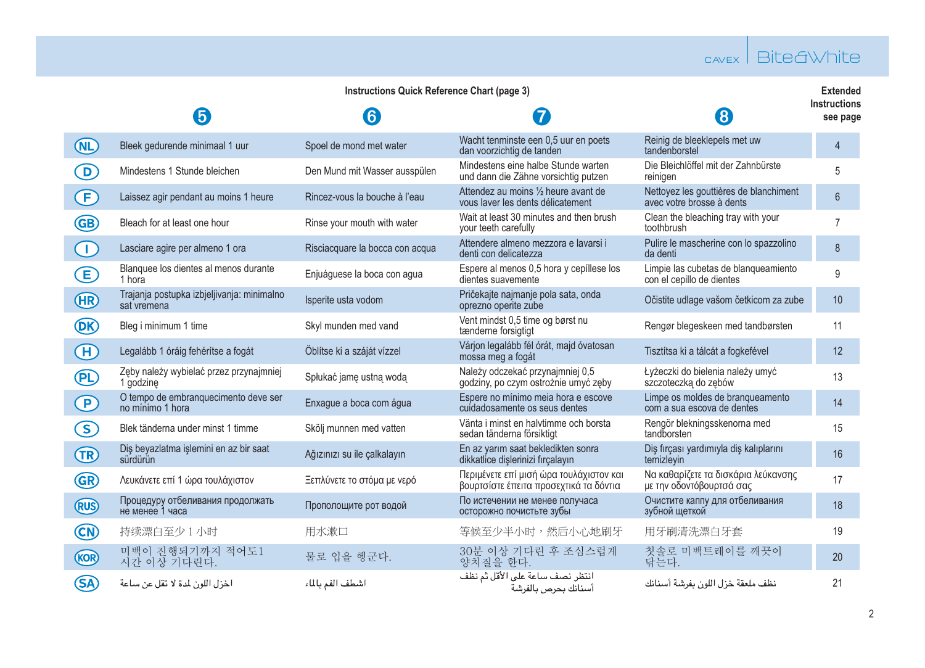## cavex Bite&White

|                   | Instructions Quick Reference Chart (page 3)               |                                 |                                                                                   |                                                                     |                          |  |
|-------------------|-----------------------------------------------------------|---------------------------------|-----------------------------------------------------------------------------------|---------------------------------------------------------------------|--------------------------|--|
|                   | 6                                                         | $\left[ 6\right]$               | 7                                                                                 | (8                                                                  | Instructions<br>see page |  |
| <b>COL</b>        | Bleek gedurende minimaal 1 uur                            | Spoel de mond met water         | Wacht tenminste een 0.5 uur en poets<br>dan voorzichtig de tanden                 | Reinig de bleeklepels met uw<br>tandenborstel                       | $\overline{4}$           |  |
| $\Omega$          | Mindestens 1 Stunde bleichen                              | Den Mund mit Wasser ausspülen   | Mindestens eine halbe Stunde warten<br>und dann die Zähne vorsichtig putzen       | Die Bleichlöffel mit der Zahnbürste<br>reinigen                     | 5                        |  |
| Œ.                | Laissez agir pendant au moins 1 heure                     | Rincez-vous la bouche à l'eau   | Attendez au moins 1/2 heure avant de<br>vous layer les dents délicatement         | Nettoyez les gouttières de blanchiment<br>avec votre brosse à dents | $6\phantom{1}$           |  |
| GB)               | Bleach for at least one hour                              | Rinse your mouth with water     | Wait at least 30 minutes and then brush<br>your teeth carefully                   | Clean the bleaching tray with your<br>toothbrush                    | $\overline{7}$           |  |
| $\bigcap$         | Lasciare agire per almeno 1 ora                           | Risciacquare la bocca con acqua | Attendere almeno mezzora e lavarsi i<br>denti con delicatezza                     | Pulire le mascherine con lo spazzolino<br>da denti                  | 8                        |  |
| E                 | Blanquee los dientes al menos durante<br>1 hora           | Eniuáquese la boca con aqua     | Espere al menos 0,5 hora y cepíllese los<br>dientes suavemente                    | Limpie las cubetas de blanqueamiento<br>con el cepillo de dientes   | 9                        |  |
| (HR)              | Trajanja postupka izbjeljivanja: minimalno<br>sat vremena | Isperite usta vodom             | Pričekajte najmanje pola sata, onda<br>oprezno operite zube                       | Očistite udlage vašom četkicom za zube                              | 10                       |  |
| (DK)              | Bleg i minimum 1 time                                     | Skyl munden med vand            | Vent mindst 0,5 time og børst nu<br>tænderne forsigtigt                           | Rengør blegeskeen med tandbørsten                                   | 11                       |  |
| $\left( H\right)$ | Legalább 1 óráig fehérítse a fogát                        | Öblítse ki a száját vízzel      | Várjon legalább fél órát, majd óvatosan<br>mossa meg a fogát                      | Tisztítsa ki a tálcát a fogkefével                                  | 12                       |  |
| (PL)              | Zęby należy wybielać przez przynajmniej<br>1 godzinę      | Spłukać jame ustną wodą         | Należy odczekać przynajmniej 0,5<br>godziny, po czym ostrożnie umyć zeby          | Łyżeczki do bielenia należy umyć<br>szczoteczka do zebów            | 13                       |  |
| $\left( P\right)$ | O tempo de embranquecimento deve ser<br>no mínimo 1 hora  | Enxague a boca com água         | Espere no mínimo meia hora e escove<br>cuidadosamente os seus dentes              | Limpe os moldes de branqueamento<br>com a sua escova de dentes      | 14                       |  |
| S)                | Blek tänderna under minst 1 timme                         | Skölj munnen med vatten         | Vänta i minst en halvtimme och borsta<br>sedan tänderna försiktigt                | Rengör blekningsskenorna med<br>tandborsten                         | 15                       |  |
| <b>TR</b>         | Dis beyazlatma islemini en az bir saat<br>sürdürün        | Ağızınızı su ile çalkalayın     | En az yarım saat bekledikten sonra<br>dikkatlice dislerinizi fırçalayın           | Diş fırçası yardımıyla diş kalıplarını<br>temizlevin                | 16                       |  |
| (GR)              | Λευκάνετε επί 1 ώρα τουλάχιστον                           | Ξεπλύνετε το στόμα με νερό      | Περιμένετε επί μισή ώρα τουλάχιστον και<br>βουρτσίστε έπειτα προσεχτικά τα δόντια | Να καθαρίζετε τα δισκάρια λεύκανσης<br>με την οδοντόβουρτσά σας     | 17                       |  |
| <b>RUS</b>        | Процедуру отбеливания продолжать<br>не менее 1 часа       | Прополощите рот водой           | По истечении не менее получаса<br>осторожно почистьте зубы                        | Очистите каппу для отбеливания<br>зубной шеткой                     | 18                       |  |
| (CN)              | 持续漂白至少1小时                                                 | 用水漱口                            | 等候至少半小时,然后小心地刷牙                                                                   | 用牙刷清洗漂白牙套                                                           | 19                       |  |
| (KOR)             | 미백이 진행되기까지 적어도1<br>시간 이상 기다린다.                            | 물로 입을 헹군다.                      | 30분 이상 기다린 후 조심스럽게<br>양치질을 하다.                                                    | 칫솔로 미백트레이를 깨끗이<br>닦든다.                                              | 20                       |  |
| (SA)              | اخزل اللون لمدة لا تقل عن ساعة                            | اشطف الفم بالماء                | انتظر نصف ساعة على الأقل ثم نظف<br>أسنانك بحرص بالفرشة                            | نظف ملعقة خزل اللون بفرشة أسنانك                                    | 21                       |  |